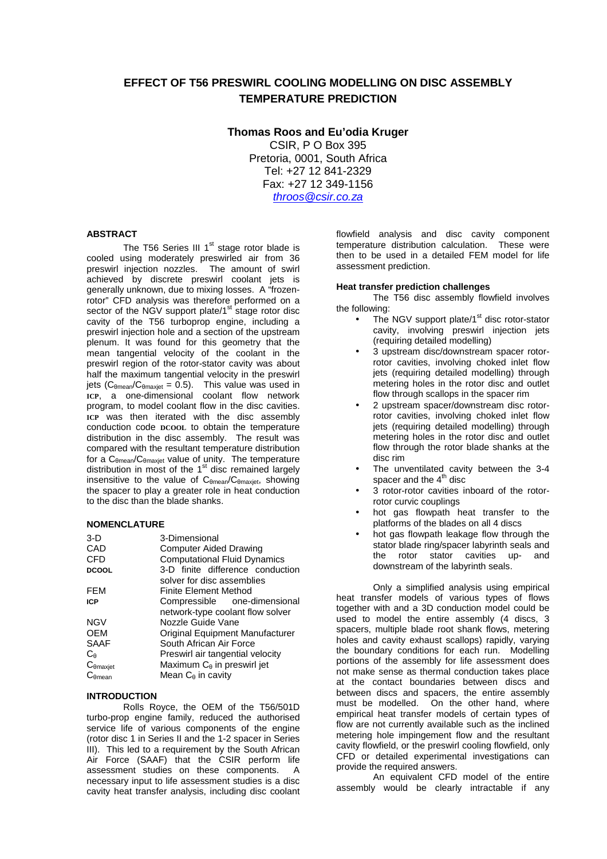# **EFFECT OF T56 PRESWIRL COOLING MODELLING ON DISC ASSEMBLY TEMPERATURE PREDICTION**

# **Thomas Roos and Eu'odia Kruger**

CSIR, P O Box 395 Pretoria, 0001, South Africa Tel: +27 12 841-2329 Fax: +27 12 349-1156 throos@csir.co.za

# **ABSTRACT**

The T56 Series III  $1<sup>st</sup>$  stage rotor blade is cooled using moderately preswirled air from 36 preswirl injection nozzles. The amount of swirl achieved by discrete preswirl coolant jets is generally unknown, due to mixing losses. A "frozenrotor" CFD analysis was therefore performed on a sector of the NGV support plate/1<sup>st</sup> stage rotor disc cavity of the T56 turboprop engine, including a preswirl injection hole and a section of the upstream plenum. It was found for this geometry that the mean tangential velocity of the coolant in the preswirl region of the rotor-stator cavity was about half the maximum tangential velocity in the preswirl jets (C $_{\theta$ mean/C $_{\theta}$ maxjet = 0.5). This value was used in **ICP**, a one-dimensional coolant flow network program, to model coolant flow in the disc cavities. **ICP** was then iterated with the disc assembly conduction code **DCOOL** to obtain the temperature distribution in the disc assembly. The result was compared with the resultant temperature distribution for a  $C_{\theta$ mean/ $C_{\theta}$ maxiet value of unity. The temperature distribution in most of the  $1<sup>st</sup>$  disc remained largely insensitive to the value of C<sub>θmean</sub>/C<sub>θmaxjet</sub>, showing the spacer to play a greater role in heat conduction to the disc than the blade shanks.

### **NOMENCLATURE**

| $3-D$               | 3-Dimensional                        |  |  |  |
|---------------------|--------------------------------------|--|--|--|
| CAD                 | <b>Computer Aided Drawing</b>        |  |  |  |
| <b>CFD</b>          | <b>Computational Fluid Dynamics</b>  |  |  |  |
| <b>DCOOL</b>        | 3-D finite difference conduction     |  |  |  |
|                     | solver for disc assemblies           |  |  |  |
| <b>FEM</b>          | Finite Element Method                |  |  |  |
| <b>ICP</b>          | Compressible one-dimensional         |  |  |  |
|                     | network-type coolant flow solver     |  |  |  |
| <b>NGV</b>          | Nozzle Guide Vane                    |  |  |  |
| <b>OEM</b>          | Original Equipment Manufacturer      |  |  |  |
| SAAF                | South African Air Force              |  |  |  |
| Сe                  | Preswirl air tangential velocity     |  |  |  |
| $C_{\theta maxjet}$ | Maximum $C_{\theta}$ in preswirl jet |  |  |  |
| $C_{\theta$ mean    | Mean $C_{\theta}$ in cavity          |  |  |  |

# **INTRODUCTION**

Rolls Royce, the OEM of the T56/501D turbo-prop engine family, reduced the authorised service life of various components of the engine (rotor disc 1 in Series II and the 1-2 spacer in Series III). This led to a requirement by the South African Air Force (SAAF) that the CSIR perform life assessment studies on these components. A necessary input to life assessment studies is a disc cavity heat transfer analysis, including disc coolant

flowfield analysis and disc cavity component temperature distribution calculation. These were then to be used in a detailed FEM model for life assessment prediction.

### **Heat transfer prediction challenges**

The T56 disc assembly flowfield involves the following:

- The NGV support plate/ $1<sup>st</sup>$  disc rotor-stator cavity, involving preswirl injection jets (requiring detailed modelling)
- 3 upstream disc/downstream spacer rotorrotor cavities, involving choked inlet flow jets (requiring detailed modelling) through metering holes in the rotor disc and outlet flow through scallops in the spacer rim
- 2 upstream spacer/downstream disc rotorrotor cavities, involving choked inlet flow jets (requiring detailed modelling) through metering holes in the rotor disc and outlet flow through the rotor blade shanks at the disc rim
- The unventilated cavity between the 3-4 spacer and the  $4^{\text{th}}$  disc
- 3 rotor-rotor cavities inboard of the rotorrotor curvic couplings
- hot gas flowpath heat transfer to the platforms of the blades on all 4 discs
- hot gas flowpath leakage flow through the stator blade ring/spacer labyrinth seals and the rotor stator cavities up- and downstream of the labyrinth seals.

Only a simplified analysis using empirical heat transfer models of various types of flows together with and a 3D conduction model could be used to model the entire assembly (4 discs, 3 spacers, multiple blade root shank flows, metering holes and cavity exhaust scallops) rapidly, varying the boundary conditions for each run. Modelling portions of the assembly for life assessment does not make sense as thermal conduction takes place at the contact boundaries between discs and between discs and spacers, the entire assembly must be modelled. On the other hand, where empirical heat transfer models of certain types of flow are not currently available such as the inclined metering hole impingement flow and the resultant cavity flowfield, or the preswirl cooling flowfield, only CFD or detailed experimental investigations can provide the required answers.

An equivalent CFD model of the entire assembly would be clearly intractable if any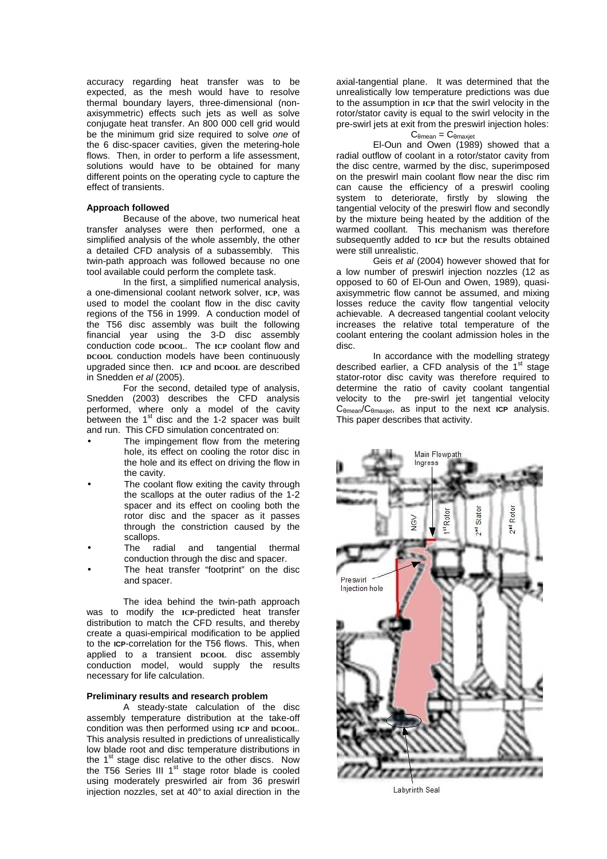accuracy regarding heat transfer was to be expected, as the mesh would have to resolve thermal boundary layers, three-dimensional (nonaxisymmetric) effects such jets as well as solve conjugate heat transfer. An 800 000 cell grid would be the minimum grid size required to solve one of the 6 disc-spacer cavities, given the metering-hole flows. Then, in order to perform a life assessment, solutions would have to be obtained for many different points on the operating cycle to capture the effect of transients.

### **Approach followed**

Because of the above, two numerical heat transfer analyses were then performed, one a simplified analysis of the whole assembly, the other a detailed CFD analysis of a subassembly. This twin-path approach was followed because no one tool available could perform the complete task.

In the first, a simplified numerical analysis, a one-dimensional coolant network solver, **ICP**, was used to model the coolant flow in the disc cavity regions of the T56 in 1999. A conduction model of the T56 disc assembly was built the following financial year using the 3-D disc assembly conduction code **DCOOL**. The **ICP** coolant flow and **DCOOL** conduction models have been continuously upgraded since then. **ICP** and **DCOOL** are described in Snedden et al (2005).

For the second, detailed type of analysis, Snedden (2003) describes the CFD analysis performed, where only a model of the cavity between the 1<sup>st</sup> disc and the 1-2 spacer was built and run. This CFD simulation concentrated on:

- The impingement flow from the metering hole, its effect on cooling the rotor disc in the hole and its effect on driving the flow in the cavity.
- The coolant flow exiting the cavity through the scallops at the outer radius of the 1-2 spacer and its effect on cooling both the rotor disc and the spacer as it passes through the constriction caused by the scallops.
- The radial and tangential thermal conduction through the disc and spacer.
- The heat transfer "footprint" on the disc and spacer.

The idea behind the twin-path approach was to modify the **ICP**-predicted heat transfer distribution to match the CFD results, and thereby create a quasi-empirical modification to be applied to the **ICP**-correlation for the T56 flows. This, when applied to a transient **DCOOL** disc assembly conduction model, would supply the results necessary for life calculation.

# **Preliminary results and research problem**

A steady-state calculation of the disc assembly temperature distribution at the take-off condition was then performed using **ICP** and **DCOOL**. This analysis resulted in predictions of unrealistically low blade root and disc temperature distributions in the  $1<sup>st</sup>$  stage disc relative to the other discs. Now the T56 Series III  $1<sup>st</sup>$  stage rotor blade is cooled using moderately preswirled air from 36 preswirl injection nozzles, set at 40° to axial direction in the axial-tangential plane. It was determined that the unrealistically low temperature predictions was due to the assumption in **ICP** that the swirl velocity in the rotor/stator cavity is equal to the swirl velocity in the pre-swirl jets at exit from the preswirl injection holes:

# $C_{\text{Amean}} = C_{\text{Amaxiet}}$

El-Oun and Owen (1989) showed that a radial outflow of coolant in a rotor/stator cavity from the disc centre, warmed by the disc, superimposed on the preswirl main coolant flow near the disc rim can cause the efficiency of a preswirl cooling system to deteriorate, firstly by slowing the tangential velocity of the preswirl flow and secondly by the mixture being heated by the addition of the warmed coollant. This mechanism was therefore subsequently added to **ICP** but the results obtained were still unrealistic.

Geis et al (2004) however showed that for a low number of preswirl injection nozzles (12 as opposed to 60 of El-Oun and Owen, 1989), quasiaxisymmetric flow cannot be assumed, and mixing losses reduce the cavity flow tangential velocity achievable. A decreased tangential coolant velocity increases the relative total temperature of the coolant entering the coolant admission holes in the disc.

In accordance with the modelling strategy described earlier, a CFD analysis of the  $1<sup>st</sup>$  stage stator-rotor disc cavity was therefore required to determine the ratio of cavity coolant tangential velocity to the pre-swirl jet tangential velocity C<sup>θ</sup>mean/C<sup>θ</sup>maxjet, as input to the next **ICP** analysis. This paper describes that activity.



Labyrinth Seal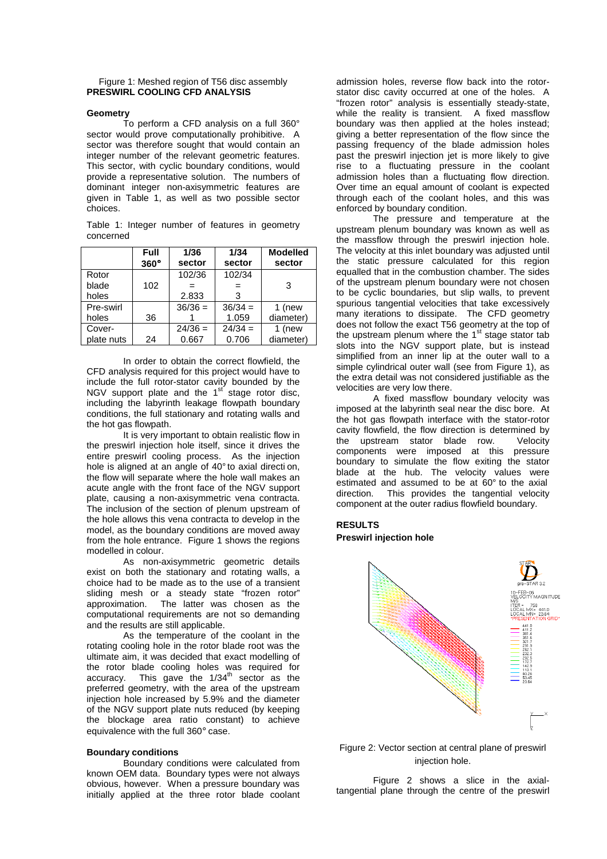#### Figure 1: Meshed region of T56 disc assembly **PRESWIRL COOLING CFD ANALYSIS**

#### **Geometry**

To perform a CFD analysis on a full 360° sector would prove computationally prohibitive. A sector was therefore sought that would contain an integer number of the relevant geometric features. This sector, with cyclic boundary conditions, would provide a representative solution. The numbers of dominant integer non-axisymmetric features are given in Table 1, as well as two possible sector choices.

Table 1: Integer number of features in geometry concerned

|            | Full<br>$360^\circ$ | 1/36<br>sector | 1/34<br>sector | <b>Modelled</b><br>sector |
|------------|---------------------|----------------|----------------|---------------------------|
| Rotor      |                     | 102/36         | 102/34         |                           |
| blade      | 102                 |                | $=$            | 3                         |
| holes      |                     | 2.833          | 3              |                           |
| Pre-swirl  |                     | $36/36 =$      | $36/34 =$      | 1 (new                    |
| holes      | 36                  |                | 1.059          | diameter)                 |
| Cover-     |                     | $24/36 =$      | $24/34 =$      | 1 (new                    |
| plate nuts | 24                  | 0.667          | 0.706          | diameter)                 |

In order to obtain the correct flowfield, the CFD analysis required for this project would have to include the full rotor-stator cavity bounded by the NGV support plate and the  $1<sup>st</sup>$  stage rotor disc, including the labyrinth leakage flowpath boundary conditions, the full stationary and rotating walls and the hot gas flowpath.

It is very important to obtain realistic flow in the preswirl injection hole itself, since it drives the entire preswirl cooling process. As the injection hole is aligned at an angle of 40° to axial direction. the flow will separate where the hole wall makes an acute angle with the front face of the NGV support plate, causing a non-axisymmetric vena contracta. The inclusion of the section of plenum upstream of the hole allows this vena contracta to develop in the model, as the boundary conditions are moved away from the hole entrance. Figure 1 shows the regions modelled in colour.

As non-axisymmetric geometric details exist on both the stationary and rotating walls, a choice had to be made as to the use of a transient sliding mesh or a steady state "frozen rotor" approximation. The latter was chosen as the computational requirements are not so demanding and the results are still applicable.

As the temperature of the coolant in the rotating cooling hole in the rotor blade root was the ultimate aim, it was decided that exact modelling of the rotor blade cooling holes was required for accuracy. This gave the  $1/34<sup>th</sup>$  sector as the preferred geometry, with the area of the upstream injection hole increased by 5.9% and the diameter of the NGV support plate nuts reduced (by keeping the blockage area ratio constant) to achieve equivalence with the full 360° case.

#### **Boundary conditions**

Boundary conditions were calculated from known OEM data. Boundary types were not always obvious, however. When a pressure boundary was initially applied at the three rotor blade coolant admission holes, reverse flow back into the rotorstator disc cavity occurred at one of the holes. A "frozen rotor" analysis is essentially steady-state, while the reality is transient. A fixed massflow boundary was then applied at the holes instead; giving a better representation of the flow since the passing frequency of the blade admission holes past the preswirl injection jet is more likely to give rise to a fluctuating pressure in the coolant admission holes than a fluctuating flow direction. Over time an equal amount of coolant is expected through each of the coolant holes, and this was enforced by boundary condition.

The pressure and temperature at the upstream plenum boundary was known as well as the massflow through the preswirl injection hole. The velocity at this inlet boundary was adjusted until the static pressure calculated for this region equalled that in the combustion chamber. The sides of the upstream plenum boundary were not chosen to be cyclic boundaries, but slip walls, to prevent spurious tangential velocities that take excessively many iterations to dissipate. The CFD geometry does not follow the exact T56 geometry at the top of the upstream plenum where the  $1<sup>st</sup>$  stage stator tab slots into the NGV support plate, but is instead simplified from an inner lip at the outer wall to a simple cylindrical outer wall (see from Figure 1), as the extra detail was not considered justifiable as the velocities are very low there.

A fixed massflow boundary velocity was imposed at the labyrinth seal near the disc bore. At the hot gas flowpath interface with the stator-rotor cavity flowfield, the flow direction is determined by the upstream stator blade row. Velocity components were imposed at this pressure boundary to simulate the flow exiting the stator blade at the hub. The velocity values were estimated and assumed to be at 60° to the axial direction. This provides the tangential velocity component at the outer radius flowfield boundary.

# **RESULTS Preswirl injection hole**



Figure 2: Vector section at central plane of preswirl injection hole.

Figure 2 shows a slice in the axialtangential plane through the centre of the preswirl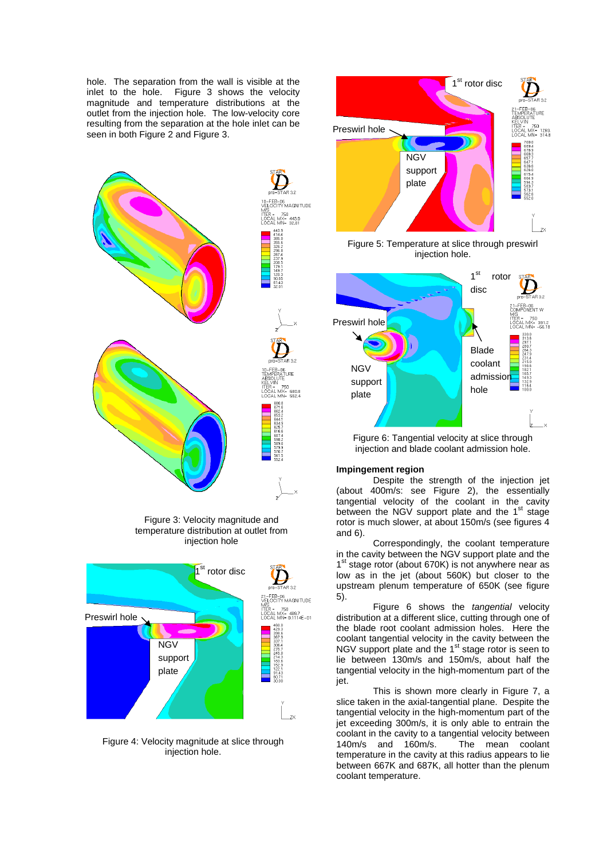hole. The separation from the wall is visible at the inlet to the hole. Figure 3 shows the velocity magnitude and temperature distributions at the outlet from the injection hole. The low-velocity core resulting from the separation at the hole inlet can be seen in both Figure 2 and Figure 3.







Figure 4: Velocity magnitude at slice through injection hole.



Figure 5: Temperature at slice through preswirl injection hole.



Figure 6: Tangential velocity at slice through injection and blade coolant admission hole.

# **Impingement region**

Despite the strength of the injection jet (about 400m/s: see Figure 2), the essentially tangential velocity of the coolant in the cavity between the NGV support plate and the 1<sup>st</sup> stage rotor is much slower, at about 150m/s (see figures 4 and 6).

Correspondingly, the coolant temperature in the cavity between the NGV support plate and the 1<sup>st</sup> stage rotor (about 670K) is not anywhere near as low as in the jet (about 560K) but closer to the upstream plenum temperature of 650K (see figure 5).

Figure 6 shows the tangential velocity distribution at a different slice, cutting through one of the blade root coolant admission holes. Here the coolant tangential velocity in the cavity between the NGV support plate and the 1<sup>st</sup> stage rotor is seen to lie between 130m/s and 150m/s, about half the tangential velocity in the high-momentum part of the jet.

This is shown more clearly in Figure 7, a slice taken in the axial-tangential plane. Despite the tangential velocity in the high-momentum part of the jet exceeding 300m/s, it is only able to entrain the coolant in the cavity to a tangential velocity between 140m/s and 160m/s. The mean coolant temperature in the cavity at this radius appears to lie between 667K and 687K, all hotter than the plenum coolant temperature.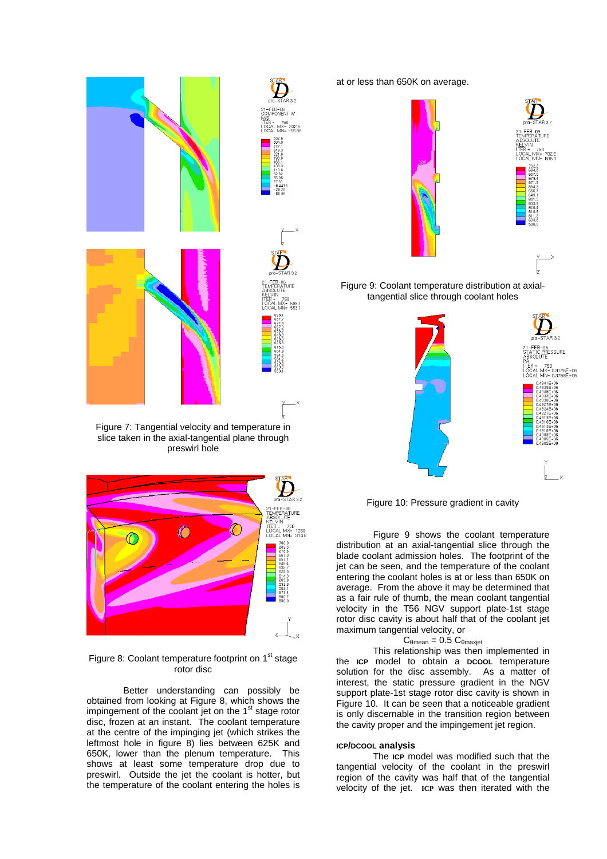

Figure 7: Tangential velocity and temperature in slice taken in the axial-tangential plane through preswirl hole



Figure 8: Coolant temperature footprint on 1<sup>st</sup> stage rotor disc

Better understanding can possibly be obtained from looking at Figure 8, which shows the impingement of the coolant jet on the 1<sup>st</sup> stage rotor disc, frozen at an instant. The coolant temperature at the centre of the impinging jet (which strikes the leftmost hole in figure 8) lies between 625K and 650K, lower than the plenum temperature. This shows at least some temperature drop due to preswirl. Outside the jet the coolant is hotter, but the temperature of the coolant entering the holes is at or less than 650K on average.



Figure 9: Coolant temperature distribution at axialtangential slice through coolant holes



Figure 10: Pressure gradient in cavity

Figure 9 shows the coolant temperature distribution at an axial-tangential slice through the blade coolant admission holes. The footprint of the jet can be seen, and the temperature of the coolant entering the coolant holes is at or less than 650K on average. From the above it may be determined that as a fair rule of thumb, the mean coolant tangential velocity in the T56 NGV support plate-1st stage rotor disc cavity is about half that of the coolant jet maximum tangential velocity, or

#### $C_{\theta$ mean = 0.5  $C_{\theta}$ maxjet

This relationship was then implemented in the **ICP** model to obtain a **DCOOL** temperature solution for the disc assembly. As a matter of interest, the static pressure gradient in the NGV support plate-1st stage rotor disc cavity is shown in Figure 10. It can be seen that a noticeable gradient is only discernable in the transition region between the cavity proper and the impingement jet region.

#### **ICP/DCOOL analysis**

The **ICP** model was modified such that the tangential velocity of the coolant in the preswirl region of the cavity was half that of the tangential velocity of the jet. **ICP** was then iterated with the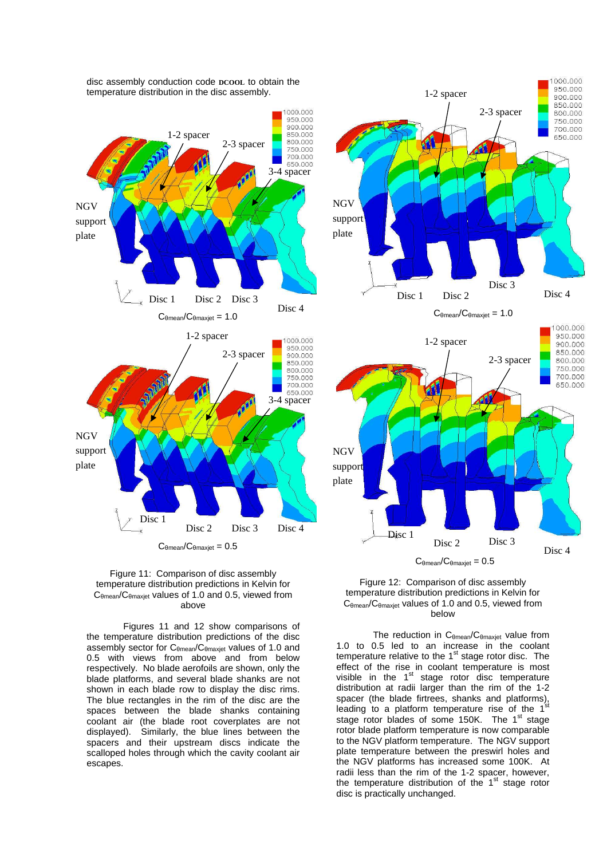



Figures 11 and 12 show comparisons of the temperature distribution predictions of the disc assembly sector for C<sub>θmean</sub>/C<sub>θmaxjet</sub> values of 1.0 and 0.5 with views from above and from below respectively. No blade aerofoils are shown, only the blade platforms, and several blade shanks are not shown in each blade row to display the disc rims. The blue rectangles in the rim of the disc are the spaces between the blade shanks containing coolant air (the blade root coverplates are not displayed). Similarly, the blue lines between the spacers and their upstream discs indicate the scalloped holes through which the cavity coolant air escapes.





Disc 1

 $C_{\theta mean}/C_{\theta maxjet} = 0.5$ 

Disc 3

Disc 4

Disc 2

NGV support plate

> The reduction in C<sub>θmean</sub>/C<sub>θmaxjet</sub> value from 1.0 to 0.5 led to an increase in the coolant temperature relative to the  $1<sup>st</sup>$  stage rotor disc. The effect of the rise in coolant temperature is most visible in the  $1<sup>st</sup>$  stage rotor disc temperature distribution at radii larger than the rim of the 1-2 spacer (the blade firtrees, shanks and platforms), leading to a platform temperature rise of the  $1<sup>st</sup>$ stage rotor blades of some 150K. The 1<sup>st</sup> stage rotor blade platform temperature is now comparable to the NGV platform temperature. The NGV support plate temperature between the preswirl holes and the NGV platforms has increased some 100K. At radii less than the rim of the 1-2 spacer, however, the temperature distribution of the  $1<sup>st</sup>$  stage rotor disc is practically unchanged.

disc assembly conduction code **DCOOL** to obtain the temperature distribution in the disc assembly.